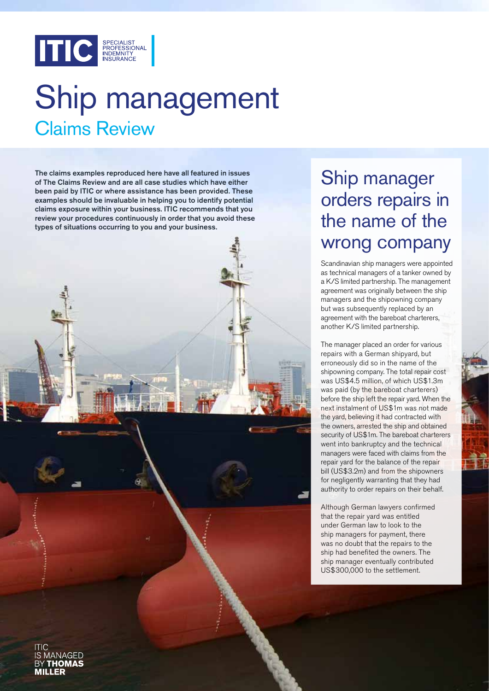

# Claims Review Ship management

The claims examples reproduced here have all featured in issues of The Claims Review and are all case studies which have either been paid by ITIC or where assistance has been provided. These examples should be invaluable in helping you to identify potential claims exposure within your business. ITIC recommends that you review your procedures continuously in order that you avoid these types of situations occurring to you and your business.

# MANAGED

## Ship manager orders repairs in the name of the wrong company

Scandinavian ship managers were appointed as technical managers of a tanker owned by a K/S limited partnership. The management agreement was originally between the ship managers and the shipowning company but was subsequently replaced by an agreement with the bareboat charterers, another K/S limited partnership.

The manager placed an order for various repairs with a German shipyard, but erroneously did so in the name of the shipowning company. The total repair cost was US\$4.5 million, of which US\$1.3m was paid (by the bareboat charterers) before the ship left the repair yard. When the next instalment of US\$1m was not made the yard, believing it had contracted with the owners, arrested the ship and obtained security of US\$1m. The bareboat charterers went into bankruptcy and the technical managers were faced with claims from the repair yard for the balance of the repair bill (US\$3.2m) and from the shipowners for negligently warranting that they had authority to order repairs on their behalf.

Although German lawyers confirmed that the repair yard was entitled under German law to look to the ship managers for payment, there was no doubt that the repairs to the ship had benefited the owners. The ship manager eventually contributed US\$300,000 to the settlement.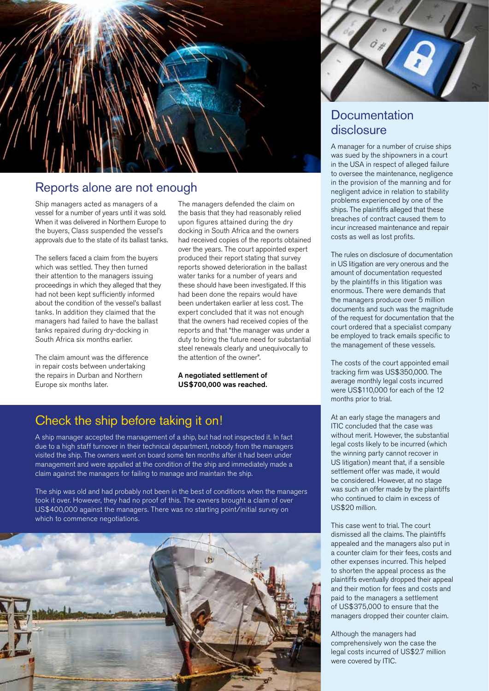

### Reports alone are not enough

Ship managers acted as managers of a vessel for a number of years until it was sold. When it was delivered in Northern Europe to the buyers, Class suspended the vessel's approvals due to the state of its ballast tanks.

The sellers faced a claim from the buyers which was settled. They then turned their attention to the managers issuing proceedings in which they alleged that they had not been kept sufficiently informed about the condition of the vessel's ballast tanks. In addition they claimed that the managers had failed to have the ballast tanks repaired during dry-docking in South Africa six months earlier.

The claim amount was the difference in repair costs between undertaking the repairs in Durban and Northern Europe six months later.

The managers defended the claim on the basis that they had reasonably relied upon figures attained during the dry docking in South Africa and the owners had received copies of the reports obtained over the years. The court appointed expert produced their report stating that survey reports showed deterioration in the ballast water tanks for a number of years and these should have been investigated. If this had been done the repairs would have been undertaken earlier at less cost. The expert concluded that it was not enough that the owners had received copies of the reports and that "the manager was under a duty to bring the future need for substantial steel renewals clearly and unequivocally to the attention of the owner".

A negotiated settlement of US\$700,000 was reached.

### Check the ship before taking it on!

A ship manager accepted the management of a ship, but had not inspected it. In fact due to a high staff turnover in their technical department, nobody from the managers visited the ship. The owners went on board some ten months after it had been under management and were appalled at the condition of the ship and immediately made a claim against the managers for failing to manage and maintain the ship.

The ship was old and had probably not been in the best of conditions when the managers took it over. However, they had no proof of this. The owners brought a claim of over US\$400,000 against the managers. There was no starting point/initial survey on which to commence negotiations.



### **Documentation** disclosure

A manager for a number of cruise ships was sued by the shipowners in a court in the USA in respect of alleged failure to oversee the maintenance, negligence in the provision of the manning and for negligent advice in relation to stability problems experienced by one of the ships. The plaintiffs alleged that these breaches of contract caused them to incur increased maintenance and repair costs as well as lost profits.

The rules on disclosure of documentation in US litigation are very onerous and the amount of documentation requested by the plaintiffs in this litigation was enormous. There were demands that the managers produce over 5 million documents and such was the magnitude of the request for documentation that the court ordered that a specialist company be employed to track emails specific to the management of these vessels.

The costs of the court appointed email tracking firm was US\$350,000. The average monthly legal costs incurred were US\$110,000 for each of the 12 months prior to trial.

At an early stage the managers and ITIC concluded that the case was without merit. However, the substantial legal costs likely to be incurred (which the winning party cannot recover in US litigation) meant that, if a sensible settlement offer was made, it would be considered. However, at no stage was such an offer made by the plaintiffs who continued to claim in excess of US\$20 million.

This case went to trial. The court dismissed all the claims. The plaintiffs appealed and the managers also put in a counter claim for their fees, costs and other expenses incurred. This helped to shorten the appeal process as the plaintiffs eventually dropped their appeal and their motion for fees and costs and paid to the managers a settlement of US\$375,000 to ensure that the managers dropped their counter claim.

Although the managers had comprehensively won the case the legal costs incurred of US\$2.7 million were covered by ITIC.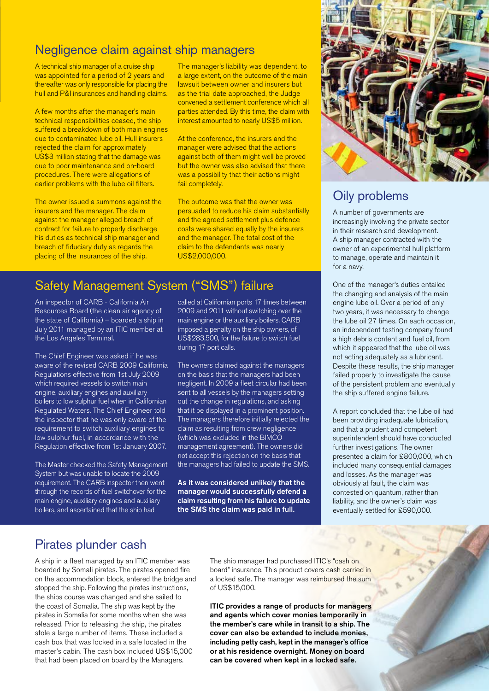### Negligence claim against ship managers

A technical ship manager of a cruise ship was appointed for a period of 2 years and thereafter was only responsible for placing the hull and P&I insurances and handling claims.

A few months after the manager's main technical responsibilities ceased, the ship suffered a breakdown of both main engines due to contaminated lube oil. Hull insurers rejected the claim for approximately US\$3 million stating that the damage was due to poor maintenance and on-board procedures. There were allegations of earlier problems with the lube oil filters.

The owner issued a summons against the insurers and the manager. The claim against the manager alleged breach of contract for failure to properly discharge his duties as technical ship manager and breach of fiduciary duty as regards the placing of the insurances of the ship.

The manager's liability was dependent, to a large extent, on the outcome of the main lawsuit between owner and insurers but as the trial date approached, the Judge convened a settlement conference which all parties attended. By this time, the claim with interest amounted to nearly US\$5 million.

At the conference, the insurers and the manager were advised that the actions against both of them might well be proved but the owner was also advised that there was a possibility that their actions might fail completely.

The outcome was that the owner was persuaded to reduce his claim substantially and the agreed settlement plus defence costs were shared equally by the insurers and the manager. The total cost of the claim to the defendants was nearly US\$2,000,000.

### Safety Management System ("SMS") failure

An inspector of CARB - California Air Resources Board (the clean air agency of the state of California) – boarded a ship in July 2011 managed by an ITIC member at the Los Angeles Terminal.

The Chief Engineer was asked if he was aware of the revised CARB 2009 California Regulations effective from 1st July 2009 which required vessels to switch main engine, auxiliary engines and auxiliary boilers to low sulphur fuel when in Californian Regulated Waters. The Chief Engineer told the inspector that he was only aware of the requirement to switch auxiliary engines to low sulphur fuel, in accordance with the Regulation effective from 1st January 2007.

The Master checked the Safety Management System but was unable to locate the 2009 requirement. The CARB inspector then went through the records of fuel switchover for the main engine, auxiliary engines and auxiliary boilers, and ascertained that the ship had

called at Californian ports 17 times between 2009 and 2011 without switching over the main engine or the auxiliary boilers. CARB imposed a penalty on the ship owners, of US\$283,500, for the failure to switch fuel during 17 port calls.

The owners claimed against the managers on the basis that the managers had been negligent. In 2009 a fleet circular had been sent to all vessels by the managers setting out the change in regulations, and asking that it be displayed in a prominent position. The managers therefore initially rejected the claim as resulting from crew negligence (which was excluded in the BIMCO management agreement). The owners did not accept this rejection on the basis that the managers had failed to update the SMS.

As it was considered unlikely that the manager would successfully defend a claim resulting from his failure to update the SMS the claim was paid in full.



### Oily problems

A number of governments are increasingly involving the private sector in their research and development. A ship manager contracted with the owner of an experimental hull platform to manage, operate and maintain it for a navy.

One of the manager's duties entailed the changing and analysis of the main engine lube oil. Over a period of only two years, it was necessary to change the lube oil 27 times. On each occasion, an independent testing company found a high debris content and fuel oil, from which it appeared that the lube oil was not acting adequately as a lubricant. Despite these results, the ship manager failed properly to investigate the cause of the persistent problem and eventually the ship suffered engine failure.

A report concluded that the lube oil had been providing inadequate lubrication, and that a prudent and competent superintendent should have conducted further investigations. The owner presented a claim for £800,000, which included many consequential damages and losses. As the manager was obviously at fault, the claim was contested on quantum, rather than liability, and the owner's claim was eventually settled for £590,000.

### Pirates plunder cash

A ship in a fleet managed by an ITIC member was boarded by Somali pirates. The pirates opened fire on the accommodation block, entered the bridge and stopped the ship. Following the pirates instructions, the ships course was changed and she sailed to the coast of Somalia. The ship was kept by the pirates in Somalia for some months when she was released. Prior to releasing the ship, the pirates stole a large number of items. These included a cash box that was locked in a safe located in the master's cabin. The cash box included US\$15,000 that had been placed on board by the Managers.

The ship manager had purchased ITIC's "cash on board" insurance. This product covers cash carried in a locked safe. The manager was reimbursed the sum of US\$15,000.

ITIC provides a range of products for managers and agents which cover monies temporarily in the member's care while in transit to a ship. The cover can also be extended to include monies, including petty cash, kept in the manager's office or at his residence overnight. Money on board can be covered when kept in a locked safe.